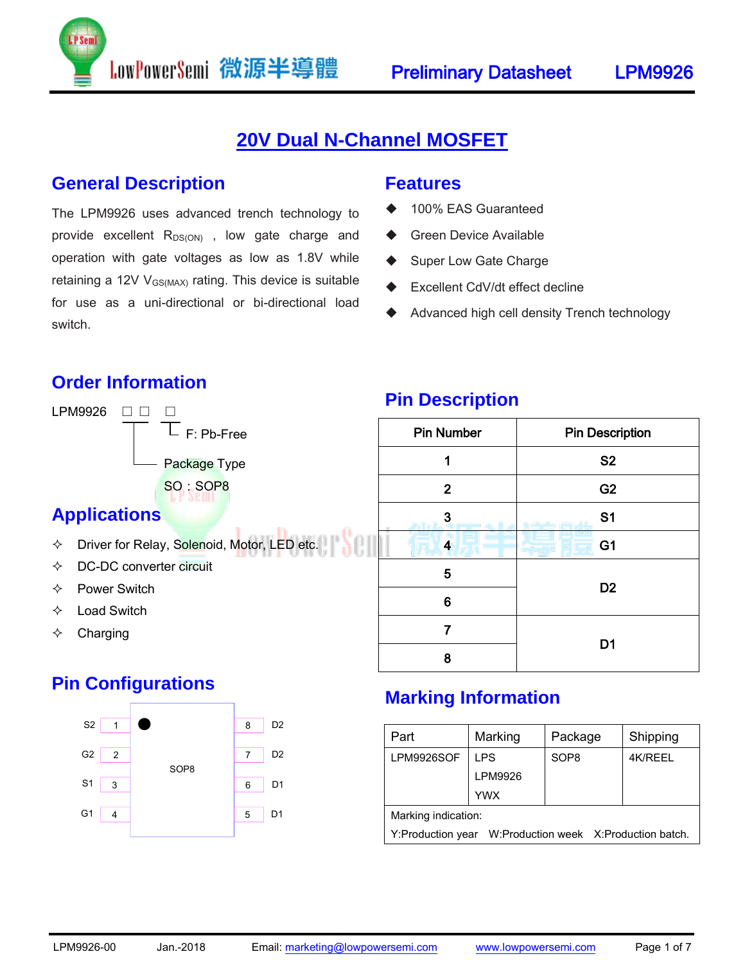## **20V Dual N-Channel MOSFET**

#### **General Description**

The LPM9926 uses advanced trench technology to provide excellent  $R_{DS(ON)}$ , low gate charge and operation with gate voltages as low as 1.8V while retaining a 12V  $V_{GS(MAX)}$  rating. This device is suitable for use as a uni-directional or bi-directional load switch.

LowPowerSemi 微源半導體

#### **Features**

- 100% EAS Guaranteed
- Green Device Available
- Super Low Gate Charge
- Excellent CdV/dt effect decline
- Advanced high cell density Trench technology

#### **Order Information**

LPM9926 □ □ □ F: Pb-Free Package Type SO: SOP8

#### **Applications**

- $\lozenge$  Driver for Relay, Solenoid, Motor, LED etc.
- DC-DC converter circuit
- $\Leftrightarrow$  Power Switch
- $\Diamond$  Load Switch
- $\Leftrightarrow$  Charging

### **Pin Configurations**



#### **Pin Description**

| <b>Pin Number</b> | <b>Pin Description</b> |  |
|-------------------|------------------------|--|
| 1                 | <b>S2</b>              |  |
| $\mathbf{2}$      | G <sub>2</sub>         |  |
| 3                 | S <sub>1</sub>         |  |
| 4                 | G <sub>1</sub>         |  |
| 5                 |                        |  |
| 6                 | D <sub>2</sub>         |  |
| 7                 |                        |  |
| 8                 | D <sub>1</sub>         |  |

#### **Marking Information**

| Part                                                       | Marking    | Package          | Shipping |  |  |
|------------------------------------------------------------|------------|------------------|----------|--|--|
| LPM9926SOF                                                 | <b>LPS</b> | SOP <sub>8</sub> | 4K/REEL  |  |  |
|                                                            | LPM9926    |                  |          |  |  |
|                                                            | <b>YWX</b> |                  |          |  |  |
| Marking indication:                                        |            |                  |          |  |  |
| W:Production week X:Production batch.<br>Y:Production year |            |                  |          |  |  |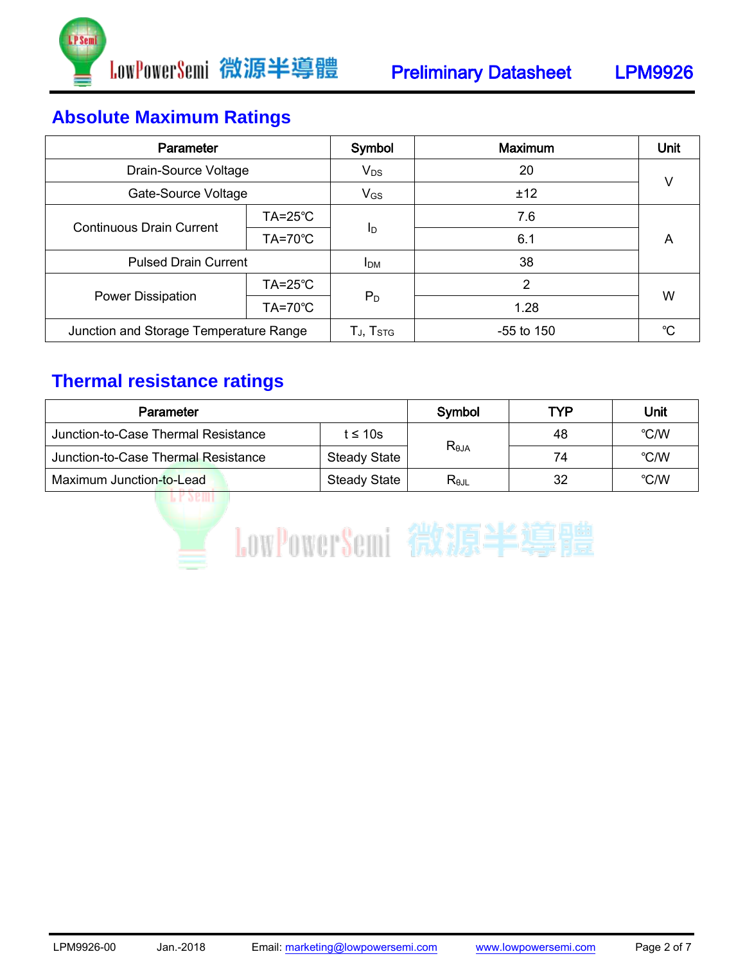

## **Absolute Maximum Ratings**

| Parameter                              |                    | Symbol            | <b>Maximum</b> | Unit |  |
|----------------------------------------|--------------------|-------------------|----------------|------|--|
| Drain-Source Voltage                   |                    | $V_{DS}$          | 20             | v    |  |
| Gate-Source Voltage                    |                    | $V_{GS}$          | ±12            |      |  |
| <b>Continuous Drain Current</b>        | $TA = 25^{\circ}C$ | ΙD                | 7.6            | A    |  |
|                                        | $TA=70^{\circ}C$   |                   | 6.1            |      |  |
| <b>Pulsed Drain Current</b>            |                    | <b>IDM</b>        | 38             |      |  |
| Power Dissipation                      | $TA = 25^{\circ}C$ | $P_D$             | $\overline{2}$ |      |  |
|                                        | $TA=70^{\circ}C$   |                   | 1.28           | W    |  |
| Junction and Storage Temperature Range |                    | $T_J$ , $T_{STG}$ | $-55$ to 150   | °C   |  |

## **Thermal resistance ratings**

| Parameter                           |                     | Symbol         | TYP | Unit |
|-------------------------------------|---------------------|----------------|-----|------|
| Junction-to-Case Thermal Resistance | t $\leq 10$ s       |                | 48  | °C/W |
| Junction-to-Case Thermal Resistance | <b>Steady State</b> | $R_{\theta$ JA | 74  | °C/W |
| Maximum Junction-to-Lead            | <b>Steady State</b> | Rejl           | 32  | °C/W |

**EPSEMID** 

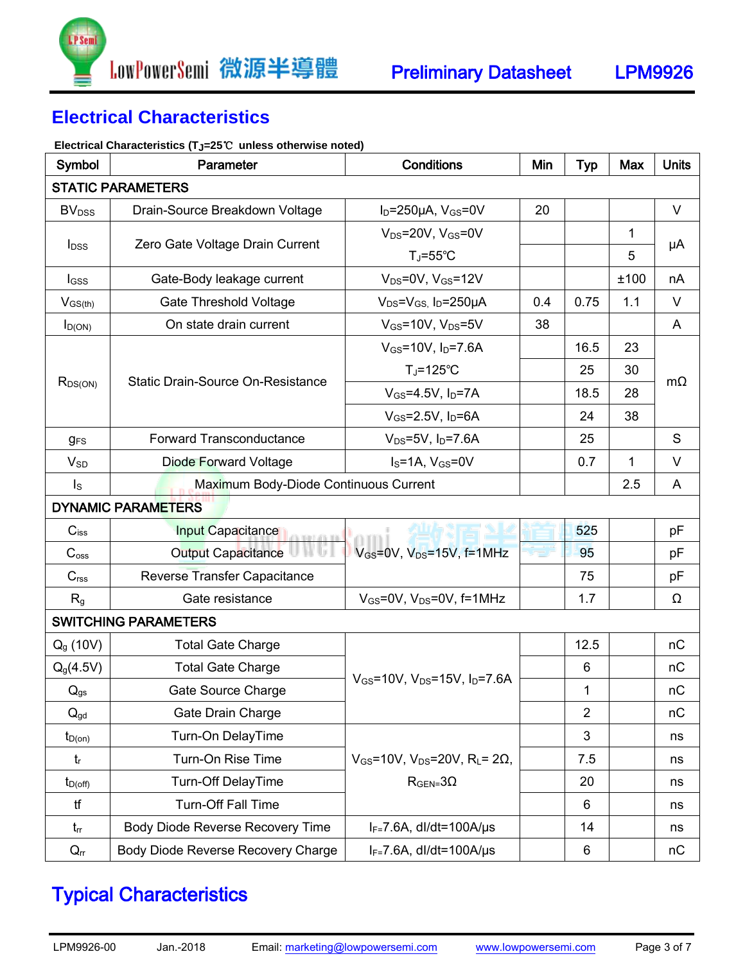

### **Electrical Characteristics**

#### **Electrical Characteristics (TJ=25**℃ **unless otherwise noted)**

| Symbol                                                           | Parameter                                | <b>Conditions</b>                                                  | Min | <b>Typ</b>     | Max  | <b>Units</b> |  |
|------------------------------------------------------------------|------------------------------------------|--------------------------------------------------------------------|-----|----------------|------|--------------|--|
| <b>STATIC PARAMETERS</b>                                         |                                          |                                                                    |     |                |      |              |  |
| <b>BV</b> <sub>DSS</sub>                                         | Drain-Source Breakdown Voltage           | $I_D = 250 \mu A$ , $V_{GS} = 0V$                                  | 20  |                |      | $\vee$       |  |
| <b>l</b> <sub>DSS</sub>                                          | Zero Gate Voltage Drain Current          | $V_{DS}$ =20V, $V_{GS}$ =0V                                        |     |                | 1    | μA           |  |
|                                                                  |                                          | $T_J = 55^{\circ}C$                                                |     |                | 5    |              |  |
| $I_{GSS}$                                                        | Gate-Body leakage current                | $V_{DS} = 0V$ , $V_{GS} = 12V$                                     |     |                | ±100 | nA           |  |
| $V_{GS(th)}$                                                     | Gate Threshold Voltage                   | $V_{DS} = V_{GS}$ , $I_D = 250 \mu A$                              | 0.4 | 0.75           | 1.1  | V            |  |
| $I_{D(ON)}$                                                      | On state drain current                   | $V_{GS}$ =10V, $V_{DS}$ =5V                                        | 38  |                |      | A            |  |
|                                                                  |                                          | $V_{GS}$ =10V, $I_D$ =7.6A                                         |     | 16.5           | 23   |              |  |
|                                                                  |                                          | $T_J = 125$ °C                                                     |     | 25             | 30   |              |  |
| $R_{DS(ON)}$                                                     | <b>Static Drain-Source On-Resistance</b> | $V_{GS} = 4.5V$ , $I_D = 7A$                                       |     | 18.5           | 28   | $m\Omega$    |  |
|                                                                  |                                          | $V_{GS}$ =2.5V, $I_D$ =6A                                          |     | 24             | 38   |              |  |
| <b>gFS</b>                                                       | Forward Transconductance                 | $V_{DS} = 5V$ , $I_D = 7.6A$                                       |     | 25             |      | S            |  |
| <b>V<sub>SD</sub></b>                                            | <b>Diode Forward Voltage</b>             | $Is=1A, VGS=0V$                                                    |     | 0.7            | 1    | V            |  |
| Maximum Body-Diode Continuous Current<br>$\mathsf{I}_\mathsf{S}$ |                                          |                                                                    |     |                | 2.5  | A            |  |
|                                                                  | <b>DYNAMIC PARAMETERS</b>                |                                                                    |     |                |      |              |  |
| $C_{iss}$                                                        | <b>Input Capacitance</b>                 |                                                                    |     | 525            |      | pF           |  |
| C <sub>oss</sub>                                                 | Output Capacitance                       | $V_{GS}$ =0V, $V_{DS}$ =15V, f=1MHz                                |     | 95             |      | pF           |  |
| C <sub>rss</sub>                                                 | Reverse Transfer Capacitance             |                                                                    |     | 75             |      | pF           |  |
| R <sub>g</sub>                                                   | Gate resistance                          | $V_{GS}$ =0V, $V_{DS}$ =0V, f=1MHz                                 |     | 1.7            |      | Ω            |  |
|                                                                  | <b>SWITCHING PARAMETERS</b>              |                                                                    |     |                |      |              |  |
| $Q_{g}$ (10V)                                                    | <b>Total Gate Charge</b>                 |                                                                    |     | 12.5           |      | nC           |  |
| $Q_g(4.5V)$                                                      | <b>Total Gate Charge</b>                 |                                                                    |     | $6\phantom{1}$ |      | nC           |  |
| $Q_{gs}$                                                         | Gate Source Charge                       | $V_{GS}$ =10V, $V_{DS}$ =15V, $I_{D}$ =7.6A                        |     | $\mathbf{1}$   |      | nC           |  |
| $Q_{gd}$                                                         | Gate Drain Charge                        |                                                                    |     | $\overline{2}$ |      | nC           |  |
| $t_{D(on)}$                                                      | Turn-On DelayTime                        |                                                                    |     | 3              |      | ns           |  |
| $t_{r}$                                                          | Turn-On Rise Time                        | $V_{GS}$ =10V, V <sub>DS</sub> =20V, R <sub>L</sub> = 2 $\Omega$ , |     | 7.5            |      | ns           |  |
| $t_{D(off)}$                                                     | <b>Turn-Off DelayTime</b>                | $RGEN=3 \Omega$                                                    |     | 20             |      | ns           |  |
| tf                                                               | <b>Turn-Off Fall Time</b>                |                                                                    |     | 6              |      | ns           |  |
| $t_{rr}$                                                         | Body Diode Reverse Recovery Time         | $I_F = 7.6A$ , dl/dt=100A/us                                       |     | 14             |      | ns           |  |
| $Q_{rr}$                                                         | Body Diode Reverse Recovery Charge       | $I_F = 7.6A$ , dl/dt=100A/µs                                       |     | 6              |      | nC           |  |

# Typical Characteristics

LPM9926-00 Jan.-2018 Email: marketing@lowpowersemi.com www.lowpowersemi.com Page 3 of 7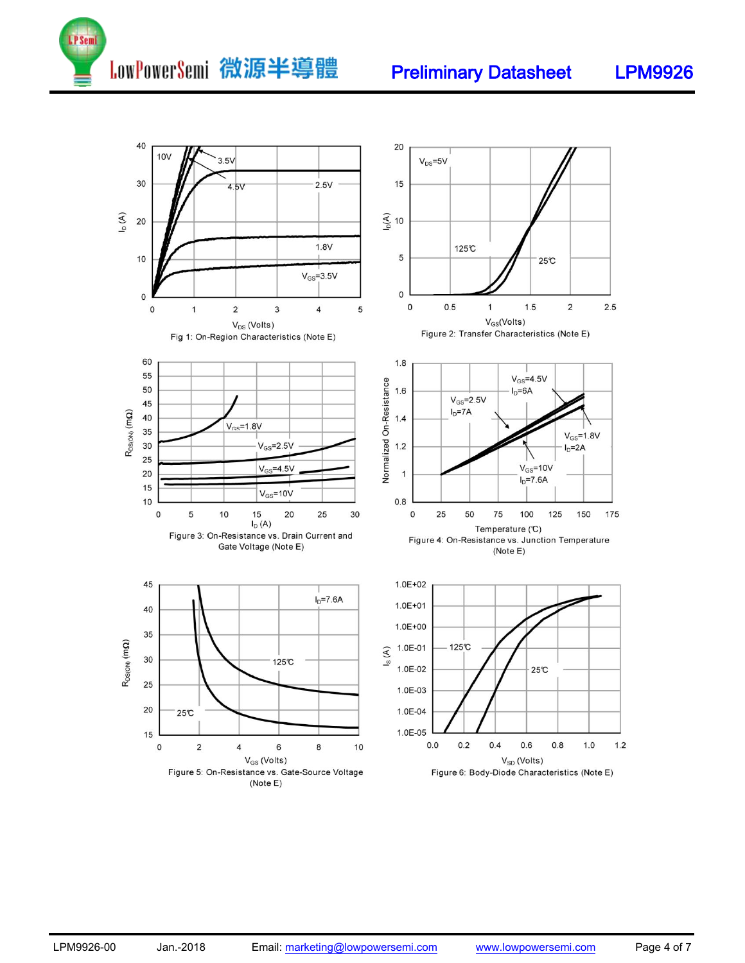

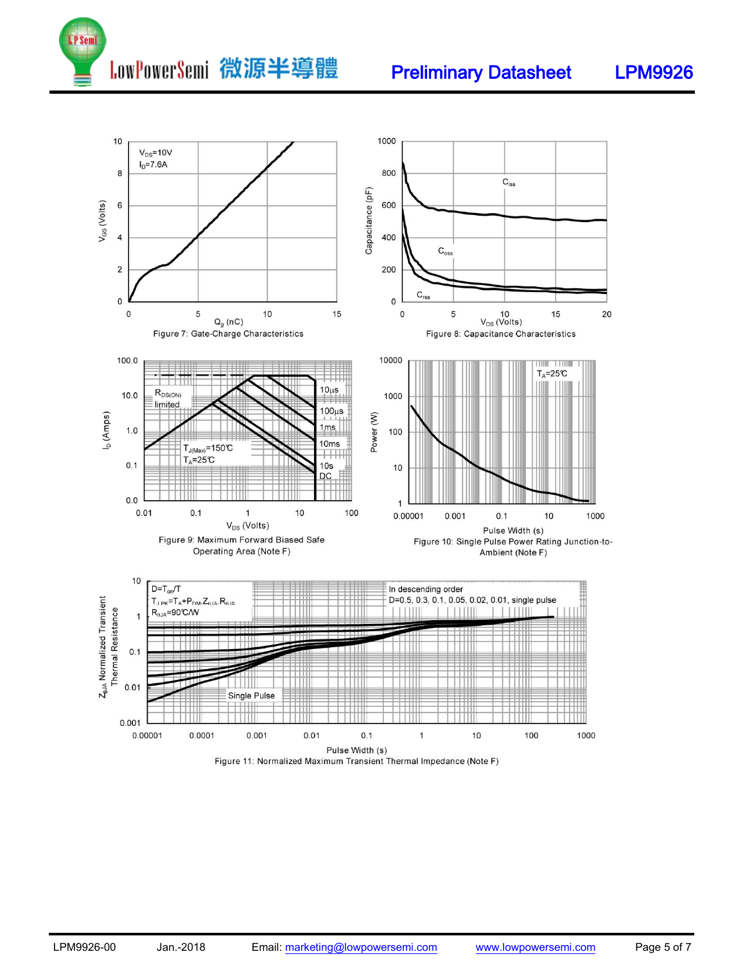



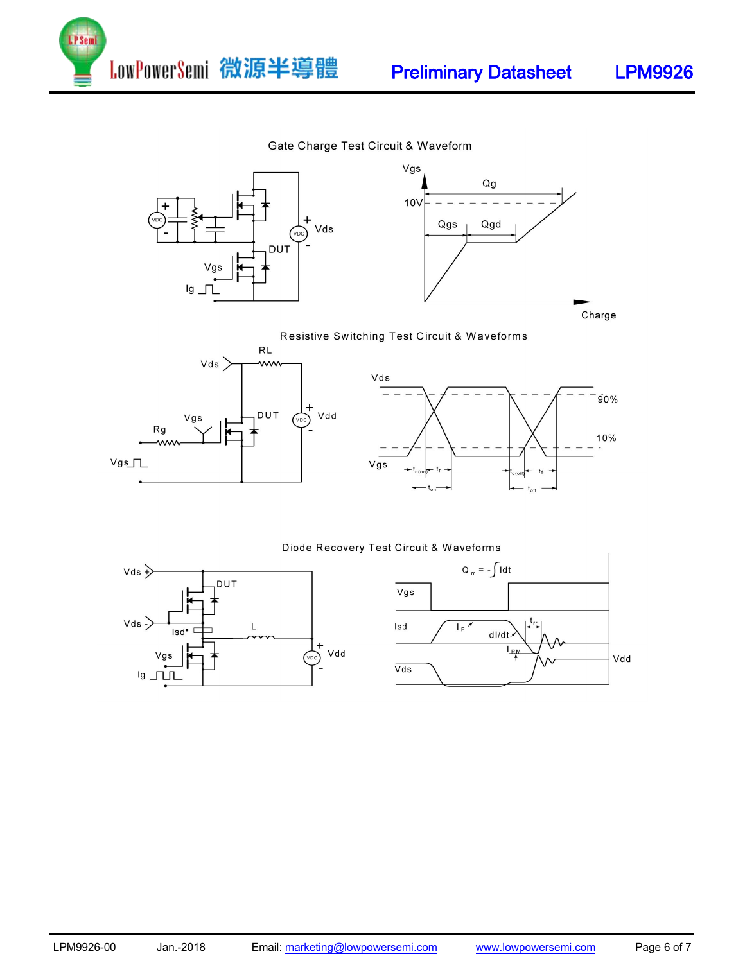

#### Gate Charge Test Circuit & Waveform



Charge







#### Diode Recovery Test Circuit & Waveforms